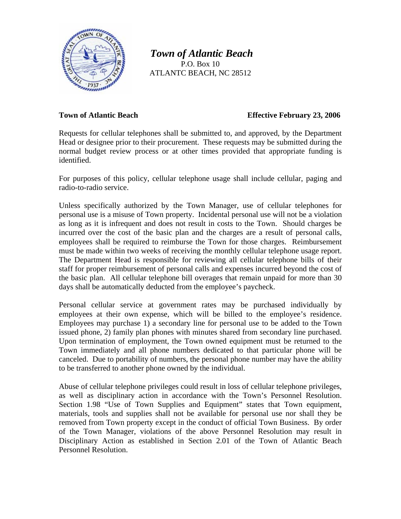

 *Town of Atlantic Beach*  P.O. Box 10ATLANTC BEACH, NC 28512

## **Town of Atlantic Beach Effective February 23, 2006**

Requests for cellular telephones shall be submitted to, and approved, by the Department Head or designee prior to their procurement. These requests may be submitted during the normal budget review process or at other times provided that appropriate funding is identified.

For purposes of this policy, cellular telephone usage shall include cellular, paging and radio-to-radio service.

Unless specifically authorized by the Town Manager, use of cellular telephones for personal use is a misuse of Town property. Incidental personal use will not be a violation as long as it is infrequent and does not result in costs to the Town. Should charges be incurred over the cost of the basic plan and the charges are a result of personal calls, employees shall be required to reimburse the Town for those charges. Reimbursement must be made within two weeks of receiving the monthly cellular telephone usage report. The Department Head is responsible for reviewing all cellular telephone bills of their staff for proper reimbursement of personal calls and expenses incurred beyond the cost of the basic plan. All cellular telephone bill overages that remain unpaid for more than 30 days shall be automatically deducted from the employee's paycheck.

Personal cellular service at government rates may be purchased individually by employees at their own expense, which will be billed to the employee's residence. Employees may purchase 1) a secondary line for personal use to be added to the Town issued phone, 2) family plan phones with minutes shared from secondary line purchased. Upon termination of employment, the Town owned equipment must be returned to the Town immediately and all phone numbers dedicated to that particular phone will be canceled. Due to portability of numbers, the personal phone number may have the ability to be transferred to another phone owned by the individual.

Abuse of cellular telephone privileges could result in loss of cellular telephone privileges, as well as disciplinary action in accordance with the Town's Personnel Resolution. Section 1.98 "Use of Town Supplies and Equipment" states that Town equipment, materials, tools and supplies shall not be available for personal use nor shall they be removed from Town property except in the conduct of official Town Business. By order of the Town Manager, violations of the above Personnel Resolution may result in Disciplinary Action as established in Section 2.01 of the Town of Atlantic Beach Personnel Resolution.